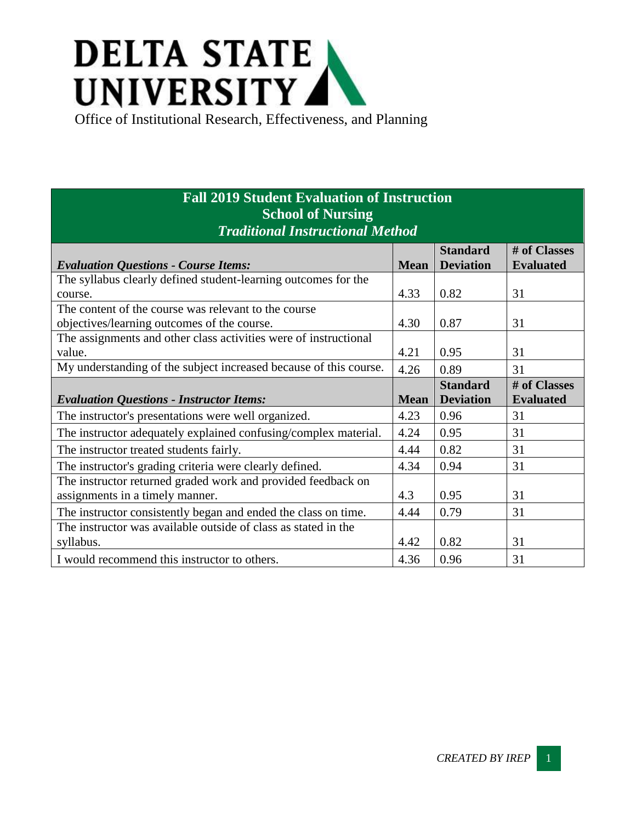## **DELTA STATE** UNIVERSITY

## **Fall 2019 Student Evaluation of Instruction School of Nursing** *Traditional Instructional Method*

|                                                                   |             | <b>Standard</b>  | # of Classes     |
|-------------------------------------------------------------------|-------------|------------------|------------------|
| <b>Evaluation Questions - Course Items:</b>                       | <b>Mean</b> | <b>Deviation</b> | <b>Evaluated</b> |
| The syllabus clearly defined student-learning outcomes for the    |             |                  |                  |
| course.                                                           | 4.33        | 0.82             | 31               |
| The content of the course was relevant to the course              |             |                  |                  |
| objectives/learning outcomes of the course.                       | 4.30        | 0.87             | 31               |
| The assignments and other class activities were of instructional  |             |                  |                  |
| value.                                                            | 4.21        | 0.95             | 31               |
| My understanding of the subject increased because of this course. | 4.26        | 0.89             | 31               |
|                                                                   |             | <b>Standard</b>  | # of Classes     |
| <b>Evaluation Questions - Instructor Items:</b>                   | <b>Mean</b> | <b>Deviation</b> | <b>Evaluated</b> |
| The instructor's presentations were well organized.               | 4.23        | 0.96             | 31               |
| The instructor adequately explained confusing/complex material.   | 4.24        | 0.95             | 31               |
| The instructor treated students fairly.                           | 4.44        | 0.82             | 31               |
| The instructor's grading criteria were clearly defined.           | 4.34        | 0.94             | 31               |
| The instructor returned graded work and provided feedback on      |             |                  |                  |
| assignments in a timely manner.                                   | 4.3         | 0.95             | 31               |
| The instructor consistently began and ended the class on time.    | 4.44        | 0.79             | 31               |
| The instructor was available outside of class as stated in the    |             |                  |                  |
| syllabus.                                                         | 4.42        | 0.82             | 31               |
| I would recommend this instructor to others.                      | 4.36        | 0.96             | 31               |